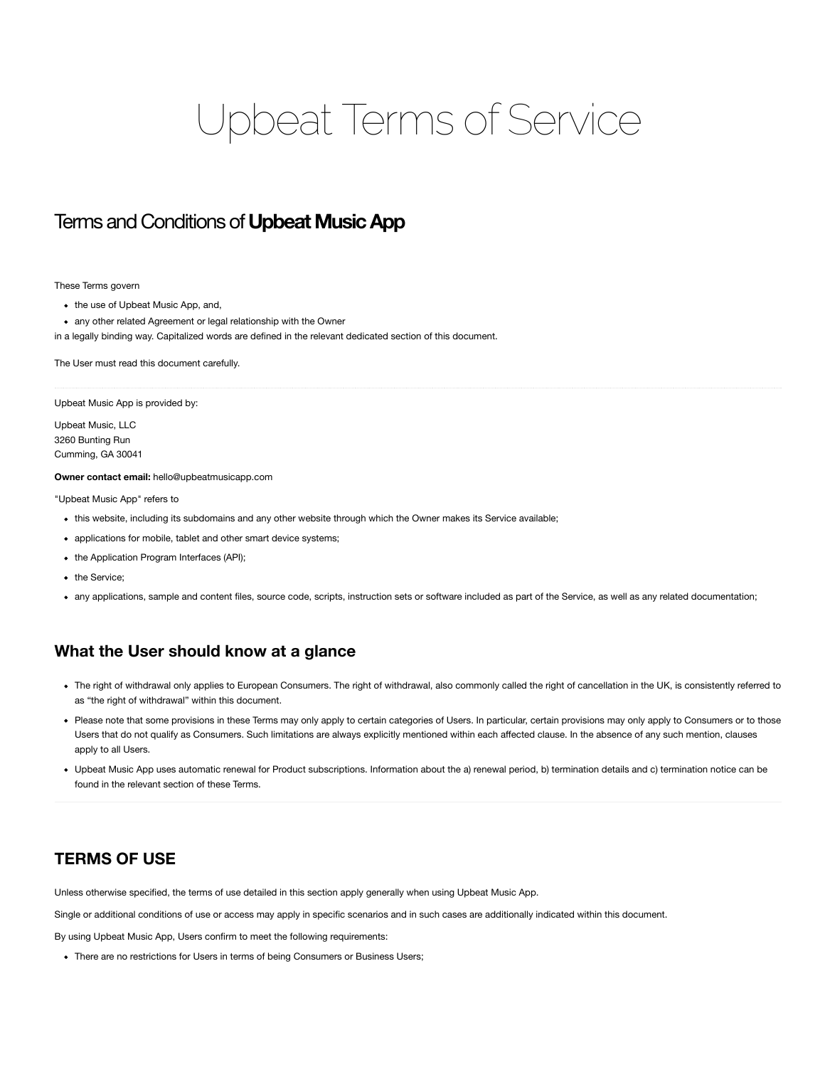# Upbeat Terms of Service

# Terms and Conditions of **Upbeat Music App**

These Terms govern

- the use of Upbeat Music App, and,
- any other related Agreement or legal relationship with the Owner
- in a legally binding way. Capitalized words are defined in the relevant dedicated section of this document.

The User must read this document carefully.

Upbeat Music App is provided by:

Upbeat Music, LLC 3260 Bunting Run Cumming, GA 30041

#### **Owner contact email:** hello@upbeatmusicapp.com

"Upbeat Music App" refers to

- this website, including its subdomains and any other website through which the Owner makes its Service available;
- applications for mobile, tablet and other smart device systems;
- the Application Program Interfaces (API);
- the Service:
- any applications, sample and content files, source code, scripts, instruction sets or software included as part of the Service, as well as any related documentation;

# **What the User should know at a glance**

- The right of withdrawal only applies to European Consumers. The right of withdrawal, also commonly called the right of cancellation in the UK, is consistently referred to as "the right of withdrawal" within this document.
- Please note that some provisions in these Terms may only apply to certain categories of Users. In particular, certain provisions may only apply to Consumers or to those Users that do not qualify as Consumers. Such limitations are always explicitly mentioned within each affected clause. In the absence of any such mention, clauses apply to all Users.
- Upbeat Music App uses automatic renewal for Product subscriptions. Information about the a) renewal period, b) termination details and c) termination notice can be found in the relevant section of these Terms.

# **TERMS OF USE**

Unless otherwise specified, the terms of use detailed in this section apply generally when using Upbeat Music App.

Single or additional conditions of use or access may apply in specific scenarios and in such cases are additionally indicated within this document.

By using Upbeat Music App, Users confirm to meet the following requirements:

There are no restrictions for Users in terms of being Consumers or Business Users;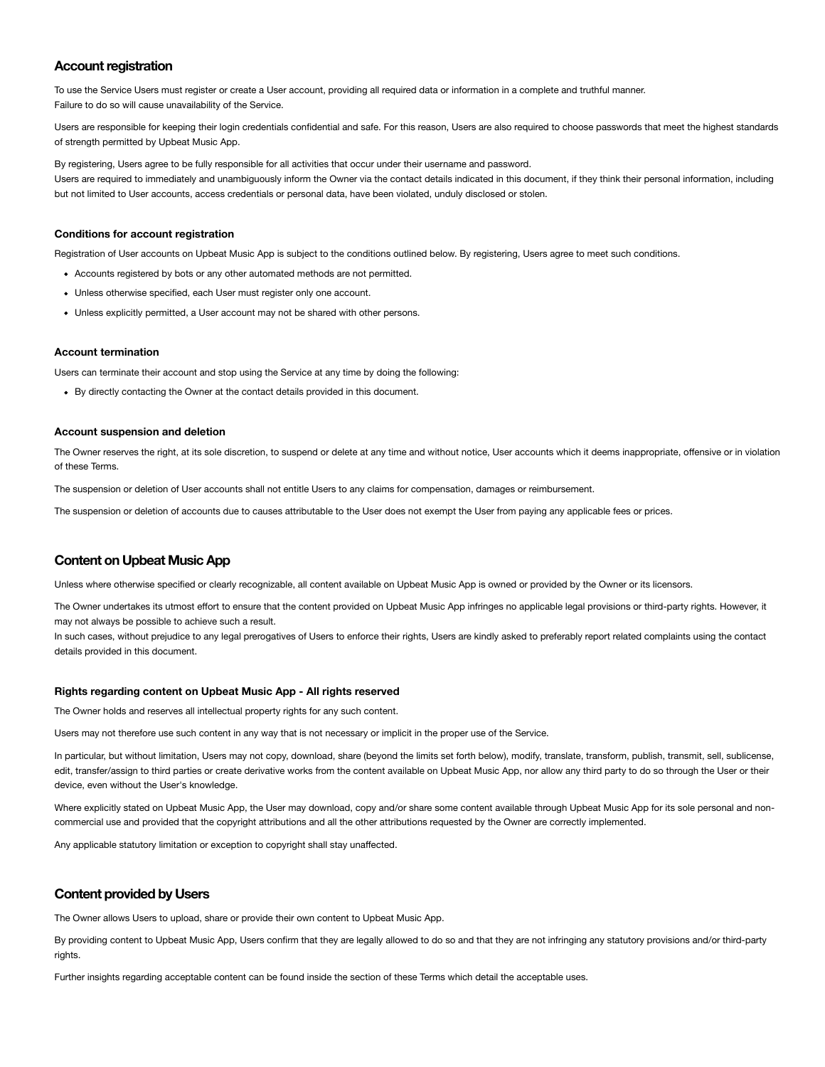## **Account registration**

To use the Service Users must register or create a User account, providing all required data or information in a complete and truthful manner. Failure to do so will cause unavailability of the Service.

Users are responsible for keeping their login credentials confidential and safe. For this reason, Users are also required to choose passwords that meet the highest standards of strength permitted by Upbeat Music App.

By registering, Users agree to be fully responsible for all activities that occur under their username and password. Users are required to immediately and unambiguously inform the Owner via the contact details indicated in this document, if they think their personal information, including but not limited to User accounts, access credentials or personal data, have been violated, unduly disclosed or stolen.

### **Conditions for account registration**

Registration of User accounts on Upbeat Music App is subject to the conditions outlined below. By registering, Users agree to meet such conditions.

- Accounts registered by bots or any other automated methods are not permitted.
- Unless otherwise specified, each User must register only one account.
- Unless explicitly permitted, a User account may not be shared with other persons.

## **Account termination**

Users can terminate their account and stop using the Service at any time by doing the following:

By directly contacting the Owner at the contact details provided in this document.

## **Account suspension and deletion**

The Owner reserves the right, at its sole discretion, to suspend or delete at any time and without notice, User accounts which it deems inappropriate, offensive or in violation of these Terms.

The suspension or deletion of User accounts shall not entitle Users to any claims for compensation, damages or reimbursement.

The suspension or deletion of accounts due to causes attributable to the User does not exempt the User from paying any applicable fees or prices.

## **Content on Upbeat Music App**

Unless where otherwise specified or clearly recognizable, all content available on Upbeat Music App is owned or provided by the Owner or its licensors.

The Owner undertakes its utmost effort to ensure that the content provided on Upbeat Music App infringes no applicable legal provisions or third-party rights. However, it may not always be possible to achieve such a result.

In such cases, without prejudice to any legal prerogatives of Users to enforce their rights, Users are kindly asked to preferably report related complaints using the contact details provided in this document.

#### **Rights regarding content on Upbeat Music App - All rights reserved**

The Owner holds and reserves all intellectual property rights for any such content.

Users may not therefore use such content in any way that is not necessary or implicit in the proper use of the Service.

In particular, but without limitation, Users may not copy, download, share (beyond the limits set forth below), modify, translate, transform, publish, transmit, sell, sublicense, edit, transfer/assign to third parties or create derivative works from the content available on Upbeat Music App, nor allow any third party to do so through the User or their device, even without the User's knowledge.

Where explicitly stated on Upbeat Music App, the User may download, copy and/or share some content available through Upbeat Music App for its sole personal and noncommercial use and provided that the copyright attributions and all the other attributions requested by the Owner are correctly implemented.

Any applicable statutory limitation or exception to copyright shall stay unaffected.

## **Content provided by Users**

The Owner allows Users to upload, share or provide their own content to Upbeat Music App.

By providing content to Upbeat Music App, Users confirm that they are legally allowed to do so and that they are not infringing any statutory provisions and/or third-party rights.

Further insights regarding acceptable content can be found inside the section of these Terms which detail the acceptable uses.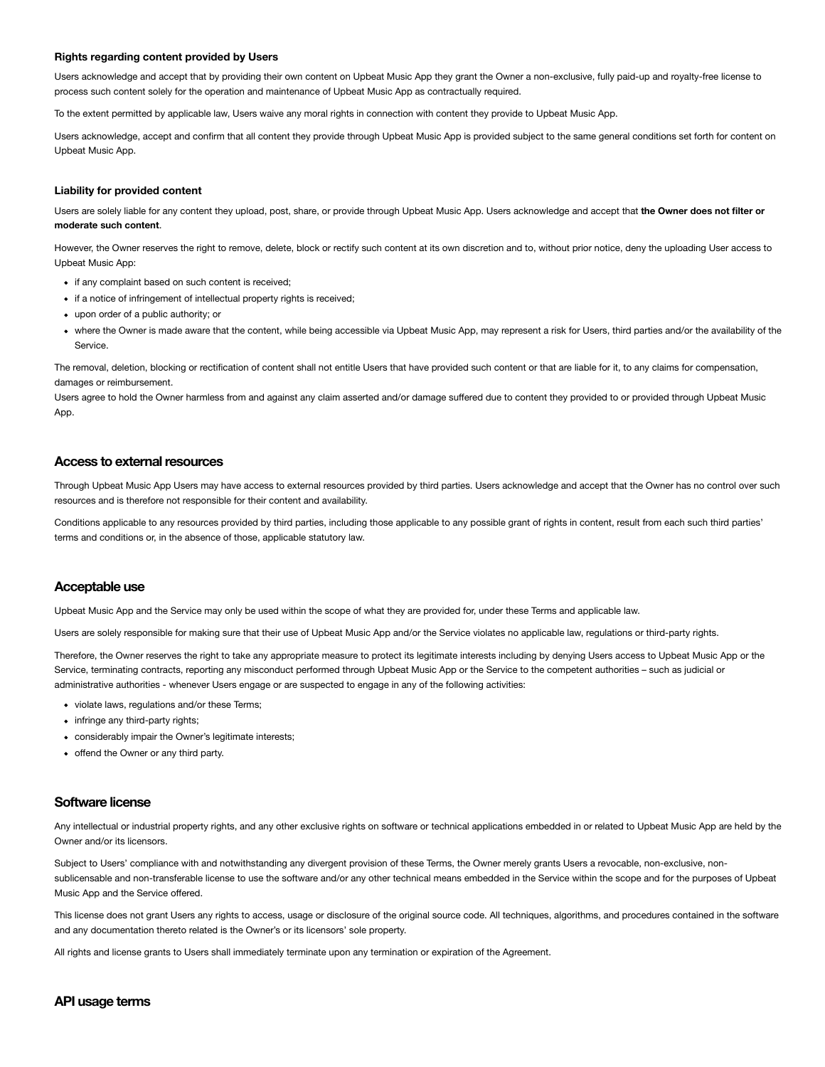## **Rights regarding content provided by Users**

Users acknowledge and accept that by providing their own content on Upbeat Music App they grant the Owner a non-exclusive, fully paid-up and royalty-free license to process such content solely for the operation and maintenance of Upbeat Music App as contractually required.

To the extent permitted by applicable law, Users waive any moral rights in connection with content they provide to Upbeat Music App.

Users acknowledge, accept and confirm that all content they provide through Upbeat Music App is provided subject to the same general conditions set forth for content on Upbeat Music App.

#### **Liability for provided content**

Users are solely liable for any content they upload, post, share, or provide through Upbeat Music App. Users acknowledge and accept that **the Owner does not filter or moderate such content**.

However, the Owner reserves the right to remove, delete, block or rectify such content at its own discretion and to, without prior notice, deny the uploading User access to Upbeat Music App:

- if any complaint based on such content is received;
- if a notice of infringement of intellectual property rights is received;
- upon order of a public authority; or
- where the Owner is made aware that the content, while being accessible via Upbeat Music App, may represent a risk for Users, third parties and/or the availability of the Service.

The removal, deletion, blocking or rectification of content shall not entitle Users that have provided such content or that are liable for it, to any claims for compensation, damages or reimbursement.

Users agree to hold the Owner harmless from and against any claim asserted and/or damage suffered due to content they provided to or provided through Upbeat Music App.

## **Access to external resources**

Through Upbeat Music App Users may have access to external resources provided by third parties. Users acknowledge and accept that the Owner has no control over such resources and is therefore not responsible for their content and availability.

Conditions applicable to any resources provided by third parties, including those applicable to any possible grant of rights in content, result from each such third parties' terms and conditions or, in the absence of those, applicable statutory law.

## **Acceptable use**

Upbeat Music App and the Service may only be used within the scope of what they are provided for, under these Terms and applicable law.

Users are solely responsible for making sure that their use of Upbeat Music App and/or the Service violates no applicable law, regulations or third-party rights.

Therefore, the Owner reserves the right to take any appropriate measure to protect its legitimate interests including by denying Users access to Upbeat Music App or the Service, terminating contracts, reporting any misconduct performed through Upbeat Music App or the Service to the competent authorities – such as judicial or administrative authorities - whenever Users engage or are suspected to engage in any of the following activities:

- violate laws, regulations and/or these Terms;
- infringe any third-party rights;
- considerably impair the Owner's legitimate interests;
- offend the Owner or any third party.

## **Software license**

Any intellectual or industrial property rights, and any other exclusive rights on software or technical applications embedded in or related to Upbeat Music App are held by the Owner and/or its licensors.

Subject to Users' compliance with and notwithstanding any divergent provision of these Terms, the Owner merely grants Users a revocable, non-exclusive, nonsublicensable and non-transferable license to use the software and/or any other technical means embedded in the Service within the scope and for the purposes of Upbeat Music App and the Service offered.

This license does not grant Users any rights to access, usage or disclosure of the original source code. All techniques, algorithms, and procedures contained in the software and any documentation thereto related is the Owner's or its licensors' sole property.

All rights and license grants to Users shall immediately terminate upon any termination or expiration of the Agreement.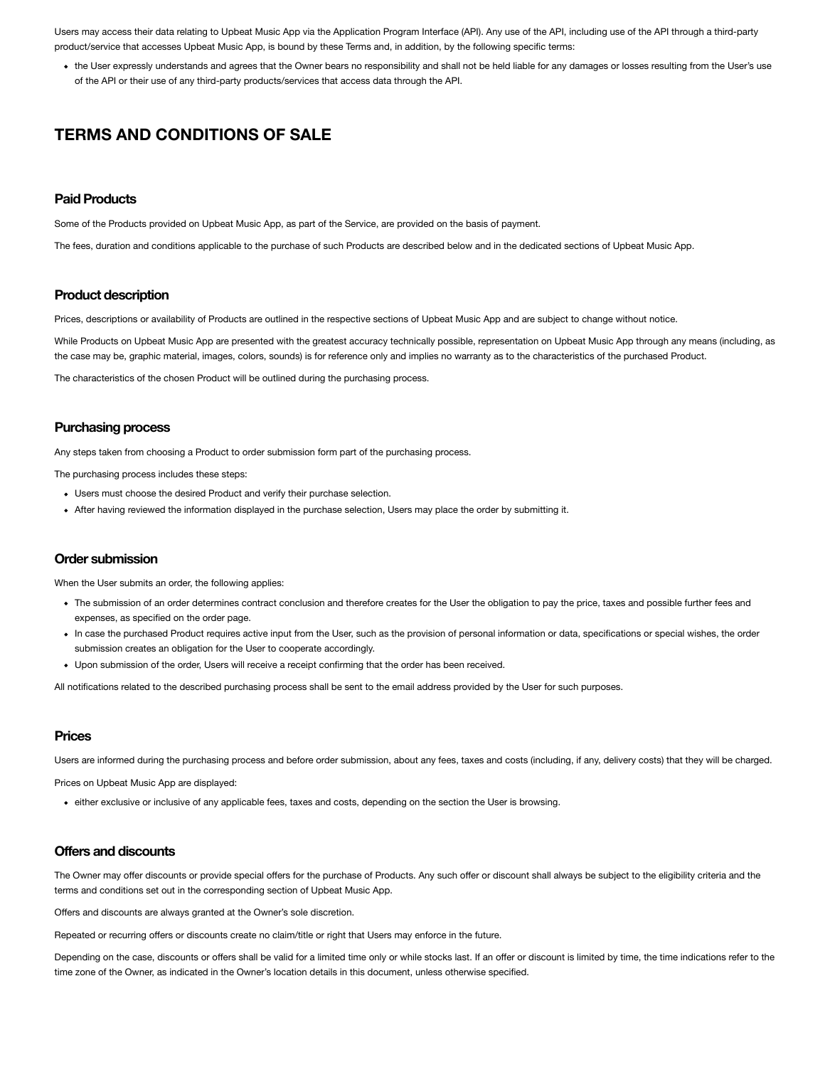Users may access their data relating to Upbeat Music App via the Application Program Interface (API). Any use of the API, including use of the API through a third-party product/service that accesses Upbeat Music App, is bound by these Terms and, in addition, by the following specific terms:

the User expressly understands and agrees that the Owner bears no responsibility and shall not be held liable for any damages or losses resulting from the User's use of the API or their use of any third-party products/services that access data through the API.

# **TERMS AND CONDITIONS OF SALE**

## **Paid Products**

Some of the Products provided on Upbeat Music App, as part of the Service, are provided on the basis of payment.

The fees, duration and conditions applicable to the purchase of such Products are described below and in the dedicated sections of Upbeat Music App.

## **Product description**

Prices, descriptions or availability of Products are outlined in the respective sections of Upbeat Music App and are subject to change without notice.

While Products on Upbeat Music App are presented with the greatest accuracy technically possible, representation on Upbeat Music App through any means (including, as the case may be, graphic material, images, colors, sounds) is for reference only and implies no warranty as to the characteristics of the purchased Product.

The characteristics of the chosen Product will be outlined during the purchasing process.

## **Purchasing process**

Any steps taken from choosing a Product to order submission form part of the purchasing process.

The purchasing process includes these steps:

- Users must choose the desired Product and verify their purchase selection.
- After having reviewed the information displayed in the purchase selection, Users may place the order by submitting it.

## **Order submission**

When the User submits an order, the following applies:

- The submission of an order determines contract conclusion and therefore creates for the User the obligation to pay the price, taxes and possible further fees and expenses, as specified on the order page.
- In case the purchased Product requires active input from the User, such as the provision of personal information or data, specifications or special wishes, the order submission creates an obligation for the User to cooperate accordingly.
- Upon submission of the order, Users will receive a receipt confirming that the order has been received.

All notifications related to the described purchasing process shall be sent to the email address provided by the User for such purposes.

## **Prices**

Users are informed during the purchasing process and before order submission, about any fees, taxes and costs (including, if any, delivery costs) that they will be charged.

Prices on Upbeat Music App are displayed:

either exclusive or inclusive of any applicable fees, taxes and costs, depending on the section the User is browsing.

## **Offers and discounts**

The Owner may offer discounts or provide special offers for the purchase of Products. Any such offer or discount shall always be subject to the eligibility criteria and the terms and conditions set out in the corresponding section of Upbeat Music App.

Offers and discounts are always granted at the Owner's sole discretion.

Repeated or recurring offers or discounts create no claim/title or right that Users may enforce in the future.

Depending on the case, discounts or offers shall be valid for a limited time only or while stocks last. If an offer or discount is limited by time, the time indications refer to the time zone of the Owner, as indicated in the Owner's location details in this document, unless otherwise specified.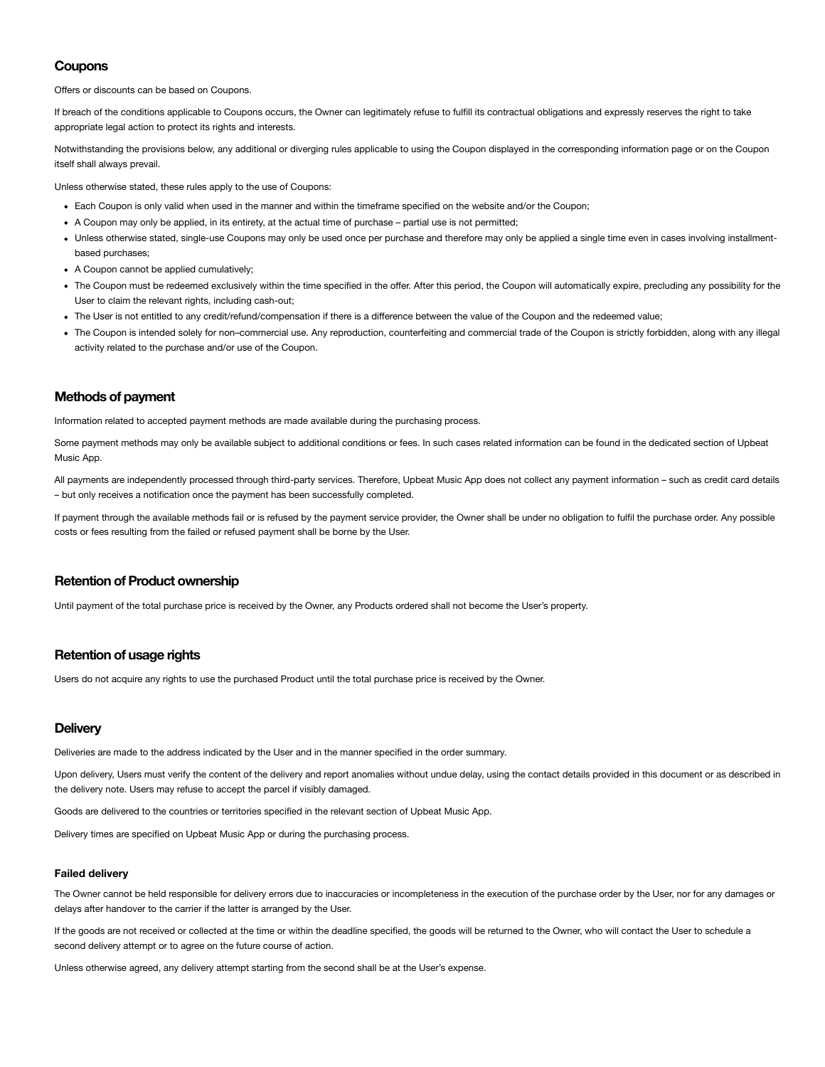## **Coupons**

Offers or discounts can be based on Coupons.

If breach of the conditions applicable to Coupons occurs, the Owner can legitimately refuse to fulfill its contractual obligations and expressly reserves the right to take appropriate legal action to protect its rights and interests.

Notwithstanding the provisions below, any additional or diverging rules applicable to using the Coupon displayed in the corresponding information page or on the Coupon itself shall always prevail.

Unless otherwise stated, these rules apply to the use of Coupons:

- Each Coupon is only valid when used in the manner and within the timeframe specified on the website and/or the Coupon;
- A Coupon may only be applied, in its entirety, at the actual time of purchase partial use is not permitted;
- Unless otherwise stated, single-use Coupons may only be used once per purchase and therefore may only be applied a single time even in cases involving installmentbased purchases;
- A Coupon cannot be applied cumulatively;
- The Coupon must be redeemed exclusively within the time specified in the offer. After this period, the Coupon will automatically expire, precluding any possibility for the User to claim the relevant rights, including cash-out;
- The User is not entitled to any credit/refund/compensation if there is a difference between the value of the Coupon and the redeemed value;
- The Coupon is intended solely for non–commercial use. Any reproduction, counterfeiting and commercial trade of the Coupon is strictly forbidden, along with any illegal activity related to the purchase and/or use of the Coupon.

## **Methods of payment**

Information related to accepted payment methods are made available during the purchasing process.

Some payment methods may only be available subject to additional conditions or fees. In such cases related information can be found in the dedicated section of Upbeat Music App.

All payments are independently processed through third-party services. Therefore, Upbeat Music App does not collect any payment information – such as credit card details – but only receives a notification once the payment has been successfully completed.

If payment through the available methods fail or is refused by the payment service provider, the Owner shall be under no obligation to fulfil the purchase order. Any possible costs or fees resulting from the failed or refused payment shall be borne by the User.

## **Retention of Product ownership**

Until payment of the total purchase price is received by the Owner, any Products ordered shall not become the User's property.

## **Retention of usage rights**

Users do not acquire any rights to use the purchased Product until the total purchase price is received by the Owner.

## **Delivery**

Deliveries are made to the address indicated by the User and in the manner specified in the order summary.

Upon delivery, Users must verify the content of the delivery and report anomalies without undue delay, using the contact details provided in this document or as described in the delivery note. Users may refuse to accept the parcel if visibly damaged.

Goods are delivered to the countries or territories specified in the relevant section of Upbeat Music App.

Delivery times are specified on Upbeat Music App or during the purchasing process.

## **Failed delivery**

The Owner cannot be held responsible for delivery errors due to inaccuracies or incompleteness in the execution of the purchase order by the User, nor for any damages or delays after handover to the carrier if the latter is arranged by the User.

If the goods are not received or collected at the time or within the deadline specified, the goods will be returned to the Owner, who will contact the User to schedule a second delivery attempt or to agree on the future course of action.

Unless otherwise agreed, any delivery attempt starting from the second shall be at the User's expense.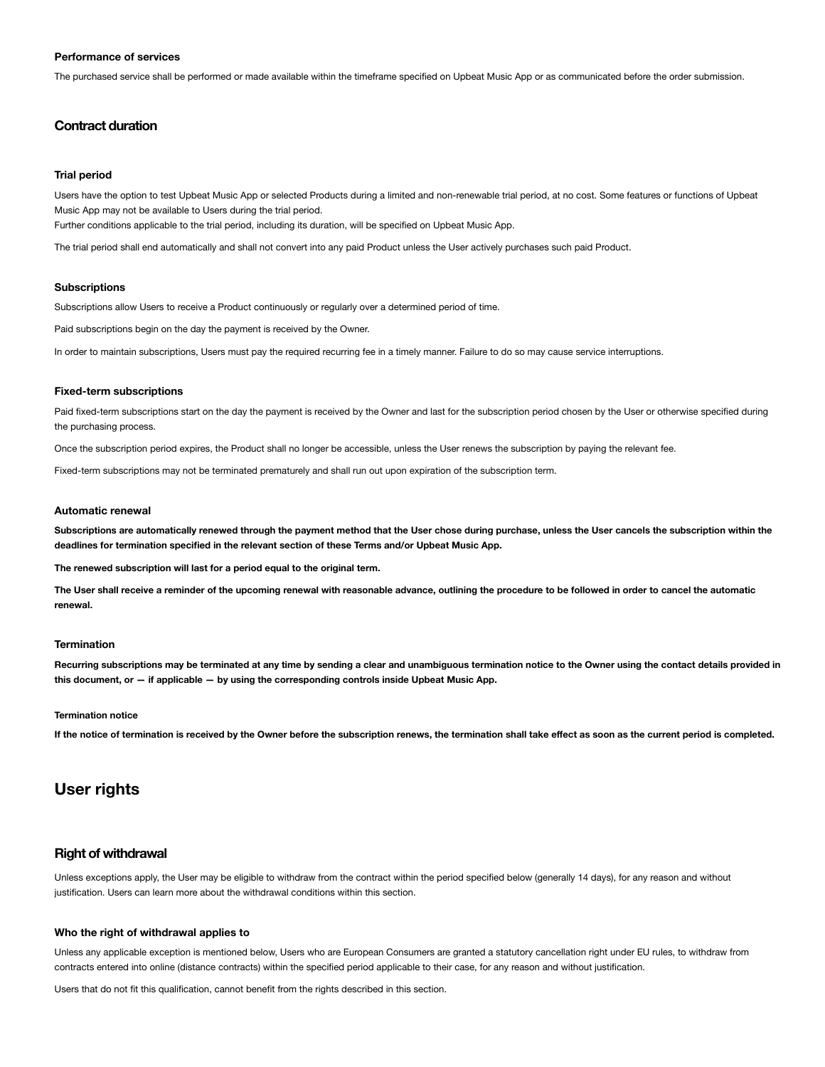#### **Performance of services**

The purchased service shall be performed or made available within the timeframe specified on Upbeat Music App or as communicated before the order submission.

## **Contract duration**

## **Trial period**

Users have the option to test Upbeat Music App or selected Products during a limited and non-renewable trial period, at no cost. Some features or functions of Upbeat Music App may not be available to Users during the trial period.

Further conditions applicable to the trial period, including its duration, will be specified on Upbeat Music App.

The trial period shall end automatically and shall not convert into any paid Product unless the User actively purchases such paid Product.

#### **Subscriptions**

Subscriptions allow Users to receive a Product continuously or regularly over a determined period of time.

Paid subscriptions begin on the day the payment is received by the Owner.

In order to maintain subscriptions, Users must pay the required recurring fee in a timely manner. Failure to do so may cause service interruptions.

## **Fixed-term subscriptions**

Paid fixed-term subscriptions start on the day the payment is received by the Owner and last for the subscription period chosen by the User or otherwise specified during the purchasing process.

Once the subscription period expires, the Product shall no longer be accessible, unless the User renews the subscription by paying the relevant fee.

Fixed-term subscriptions may not be terminated prematurely and shall run out upon expiration of the subscription term.

#### **Automatic renewal**

**Subscriptions are automatically renewed through the payment method that the User chose during purchase, unless the User cancels the subscription within the deadlines for termination specified in the relevant section of these Terms and/or Upbeat Music App.**

**The renewed subscription will last for a period equal to the original term.**

**The User shall receive a reminder of the upcoming renewal with reasonable advance, outlining the procedure to be followed in order to cancel the automatic renewal.**

## **Termination**

**Recurring subscriptions may be terminated at any time by sending a clear and unambiguous termination notice to the Owner using the contact details provided in this document, or — if applicable — by using the corresponding controls inside Upbeat Music App.**

#### **Termination notice**

If the notice of termination is received by the Owner before the subscription renews, the termination shall take effect as soon as the current period is completed.

# **User rights**

## **Right of withdrawal**

Unless exceptions apply, the User may be eligible to withdraw from the contract within the period specified below (generally 14 days), for any reason and without justification. Users can learn more about the withdrawal conditions within this section.

## **Who the right of withdrawal applies to**

Unless any applicable exception is mentioned below, Users who are European Consumers are granted a statutory cancellation right under EU rules, to withdraw from contracts entered into online (distance contracts) within the specified period applicable to their case, for any reason and without justification.

Users that do not fit this qualification, cannot benefit from the rights described in this section.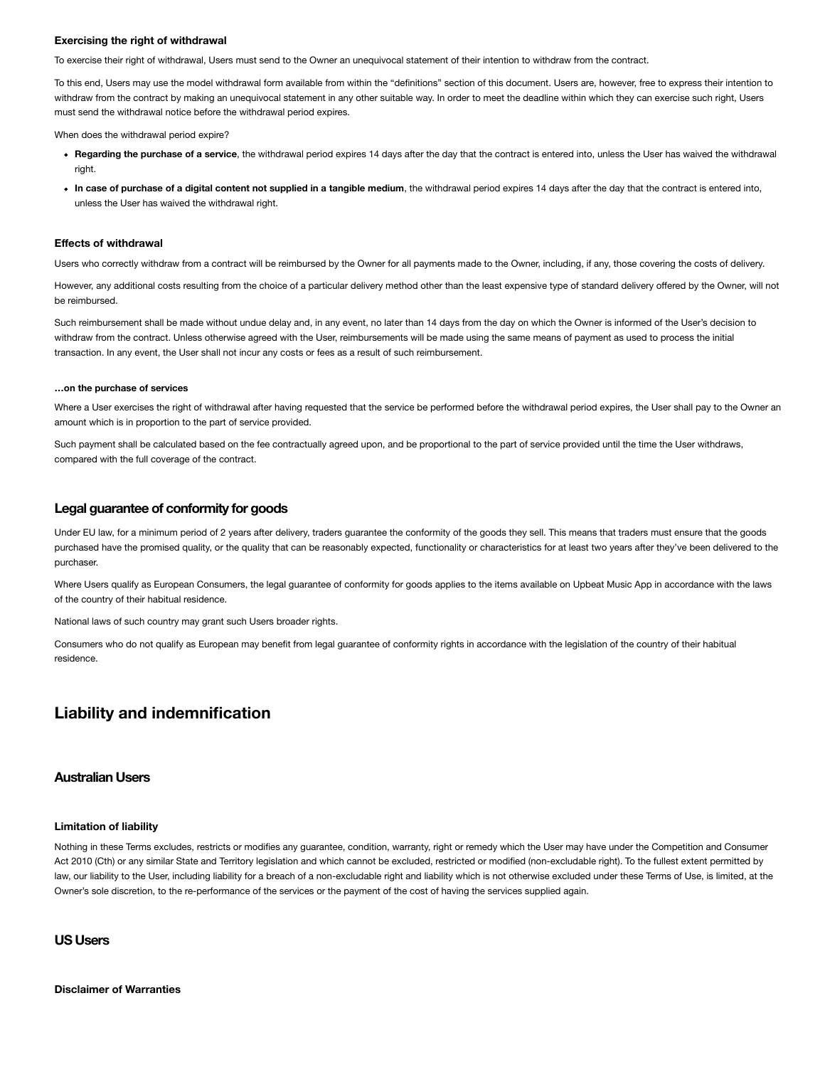#### **Exercising the right of withdrawal**

To exercise their right of withdrawal, Users must send to the Owner an unequivocal statement of their intention to withdraw from the contract.

To this end, Users may use the model withdrawal form available from within the "definitions" section of this document. Users are, however, free to express their intention to withdraw from the contract by making an unequivocal statement in any other suitable way. In order to meet the deadline within which they can exercise such right, Users must send the withdrawal notice before the withdrawal period expires.

When does the withdrawal period expire?

- **Regarding the purchase of a service**, the withdrawal period expires 14 days after the day that the contract is entered into, unless the User has waived the withdrawal right.
- **In case of purchase of a digital content not supplied in a tangible medium**, the withdrawal period expires 14 days after the day that the contract is entered into, unless the User has waived the withdrawal right.

## **Effects of withdrawal**

Users who correctly withdraw from a contract will be reimbursed by the Owner for all payments made to the Owner, including, if any, those covering the costs of delivery.

However, any additional costs resulting from the choice of a particular delivery method other than the least expensive type of standard delivery offered by the Owner, will not be reimbursed.

Such reimbursement shall be made without undue delay and, in any event, no later than 14 days from the day on which the Owner is informed of the User's decision to withdraw from the contract. Unless otherwise agreed with the User, reimbursements will be made using the same means of payment as used to process the initial transaction. In any event, the User shall not incur any costs or fees as a result of such reimbursement.

#### **…on the purchase of services**

Where a User exercises the right of withdrawal after having requested that the service be performed before the withdrawal period expires, the User shall pay to the Owner an amount which is in proportion to the part of service provided.

Such payment shall be calculated based on the fee contractually agreed upon, and be proportional to the part of service provided until the time the User withdraws, compared with the full coverage of the contract.

## **Legal guarantee of conformity for goods**

Under EU law, for a minimum period of 2 years after delivery, traders guarantee the conformity of the goods they sell. This means that traders must ensure that the goods purchased have the promised quality, or the quality that can be reasonably expected, functionality or characteristics for at least two years after they've been delivered to the purchaser.

Where Users qualify as European Consumers, the legal guarantee of conformity for goods applies to the items available on Upbeat Music App in accordance with the laws of the country of their habitual residence.

National laws of such country may grant such Users broader rights.

Consumers who do not qualify as European may benefit from legal guarantee of conformity rights in accordance with the legislation of the country of their habitual residence.

## **Liability and indemnification**

## **Australian Users**

#### **Limitation of liability**

Nothing in these Terms excludes, restricts or modifies any guarantee, condition, warranty, right or remedy which the User may have under the Competition and Consumer Act 2010 (Cth) or any similar State and Territory legislation and which cannot be excluded, restricted or modified (non-excludable right). To the fullest extent permitted by law, our liability to the User, including liability for a breach of a non-excludable right and liability which is not otherwise excluded under these Terms of Use, is limited, at the Owner's sole discretion, to the re-performance of the services or the payment of the cost of having the services supplied again.

## **US Users**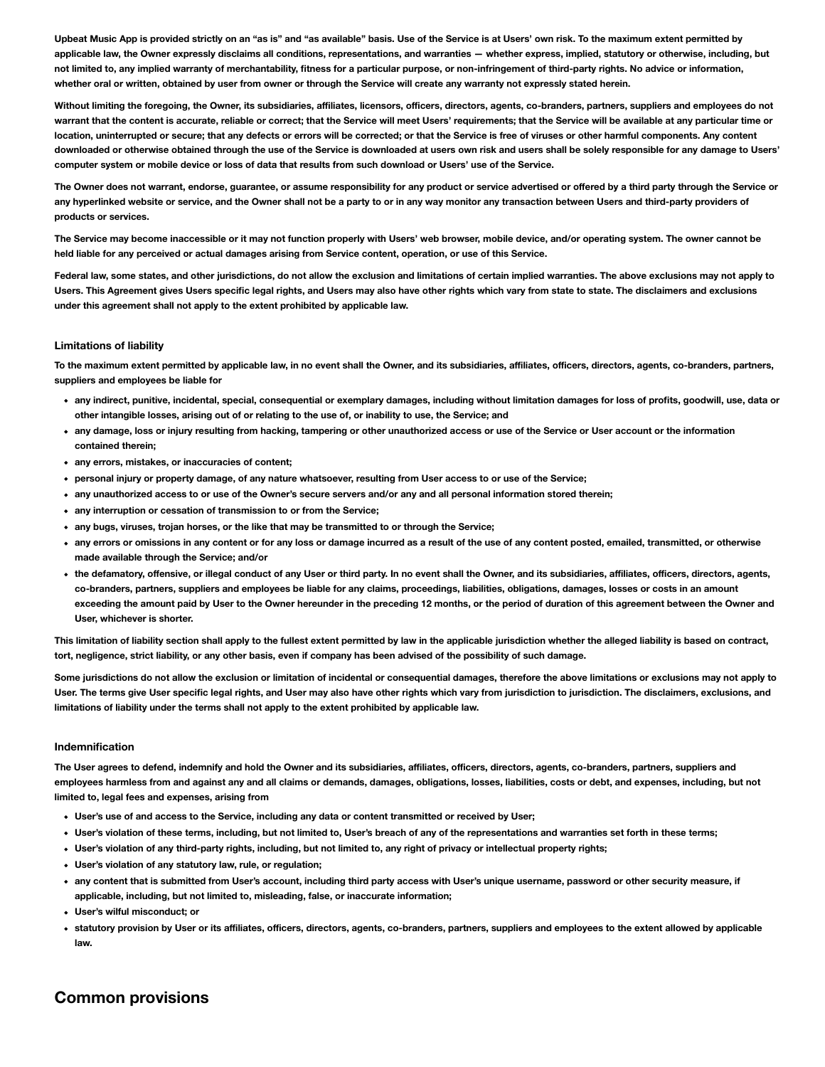**Upbeat Music App is provided strictly on an "as is" and "as available" basis. Use of the Service is at Users' own risk. To the maximum extent permitted by applicable law, the Owner expressly disclaims all conditions, representations, and warranties — whether express, implied, statutory or otherwise, including, but not limited to, any implied warranty of merchantability, fitness for a particular purpose, or non-infringement of third-party rights. No advice or information, whether oral or written, obtained by user from owner or through the Service will create any warranty not expressly stated herein.**

**Without limiting the foregoing, the Owner, its subsidiaries, affiliates, licensors, officers, directors, agents, co-branders, partners, suppliers and employees do not warrant that the content is accurate, reliable or correct; that the Service will meet Users' requirements; that the Service will be available at any particular time or location, uninterrupted or secure; that any defects or errors will be corrected; or that the Service is free of viruses or other harmful components. Any content downloaded or otherwise obtained through the use of the Service is downloaded at users own risk and users shall be solely responsible for any damage to Users' computer system or mobile device or loss of data that results from such download or Users' use of the Service.**

**The Owner does not warrant, endorse, guarantee, or assume responsibility for any product or service advertised or offered by a third party through the Service or any hyperlinked website or service, and the Owner shall not be a party to or in any way monitor any transaction between Users and third-party providers of products or services.**

**The Service may become inaccessible or it may not function properly with Users' web browser, mobile device, and/or operating system. The owner cannot be held liable for any perceived or actual damages arising from Service content, operation, or use of this Service.**

**Federal law, some states, and other jurisdictions, do not allow the exclusion and limitations of certain implied warranties. The above exclusions may not apply to Users. This Agreement gives Users specific legal rights, and Users may also have other rights which vary from state to state. The disclaimers and exclusions under this agreement shall not apply to the extent prohibited by applicable law.**

### **Limitations of liability**

**To the maximum extent permitted by applicable law, in no event shall the Owner, and its subsidiaries, affiliates, officers, directors, agents, co-branders, partners, suppliers and employees be liable for**

- **any indirect, punitive, incidental, special, consequential or exemplary damages, including without limitation damages for loss of profits, goodwill, use, data or other intangible losses, arising out of or relating to the use of, or inability to use, the Service; and**
- **any damage, loss or injury resulting from hacking, tampering or other unauthorized access or use of the Service or User account or the information contained therein;**
- **any errors, mistakes, or inaccuracies of content;**
- **personal injury or property damage, of any nature whatsoever, resulting from User access to or use of the Service;**
- **any unauthorized access to or use of the Owner's secure servers and/or any and all personal information stored therein;**
- **any interruption or cessation of transmission to or from the Service;**
- **any bugs, viruses, trojan horses, or the like that may be transmitted to or through the Service;**
- **any errors or omissions in any content or for any loss or damage incurred as a result of the use of any content posted, emailed, transmitted, or otherwise made available through the Service; and/or**
- **the defamatory, offensive, or illegal conduct of any User or third party. In no event shall the Owner, and its subsidiaries, affiliates, officers, directors, agents, co-branders, partners, suppliers and employees be liable for any claims, proceedings, liabilities, obligations, damages, losses or costs in an amount exceeding the amount paid by User to the Owner hereunder in the preceding 12 months, or the period of duration of this agreement between the Owner and User, whichever is shorter.**

**This limitation of liability section shall apply to the fullest extent permitted by law in the applicable jurisdiction whether the alleged liability is based on contract, tort, negligence, strict liability, or any other basis, even if company has been advised of the possibility of such damage.**

**Some jurisdictions do not allow the exclusion or limitation of incidental or consequential damages, therefore the above limitations or exclusions may not apply to User. The terms give User specific legal rights, and User may also have other rights which vary from jurisdiction to jurisdiction. The disclaimers, exclusions, and limitations of liability under the terms shall not apply to the extent prohibited by applicable law.**

## **Indemnification**

**The User agrees to defend, indemnify and hold the Owner and its subsidiaries, affiliates, officers, directors, agents, co-branders, partners, suppliers and employees harmless from and against any and all claims or demands, damages, obligations, losses, liabilities, costs or debt, and expenses, including, but not limited to, legal fees and expenses, arising from**

- **User's use of and access to the Service, including any data or content transmitted or received by User;**
- **User's violation of these terms, including, but not limited to, User's breach of any of the representations and warranties set forth in these terms;**
- **User's violation of any third-party rights, including, but not limited to, any right of privacy or intellectual property rights;**
- **User's violation of any statutory law, rule, or regulation;**
- **any content that is submitted from User's account, including third party access with User's unique username, password or other security measure, if applicable, including, but not limited to, misleading, false, or inaccurate information;**
- **User's wilful misconduct; or**
- **statutory provision by User or its affiliates, officers, directors, agents, co-branders, partners, suppliers and employees to the extent allowed by applicable law.**

## **Common provisions**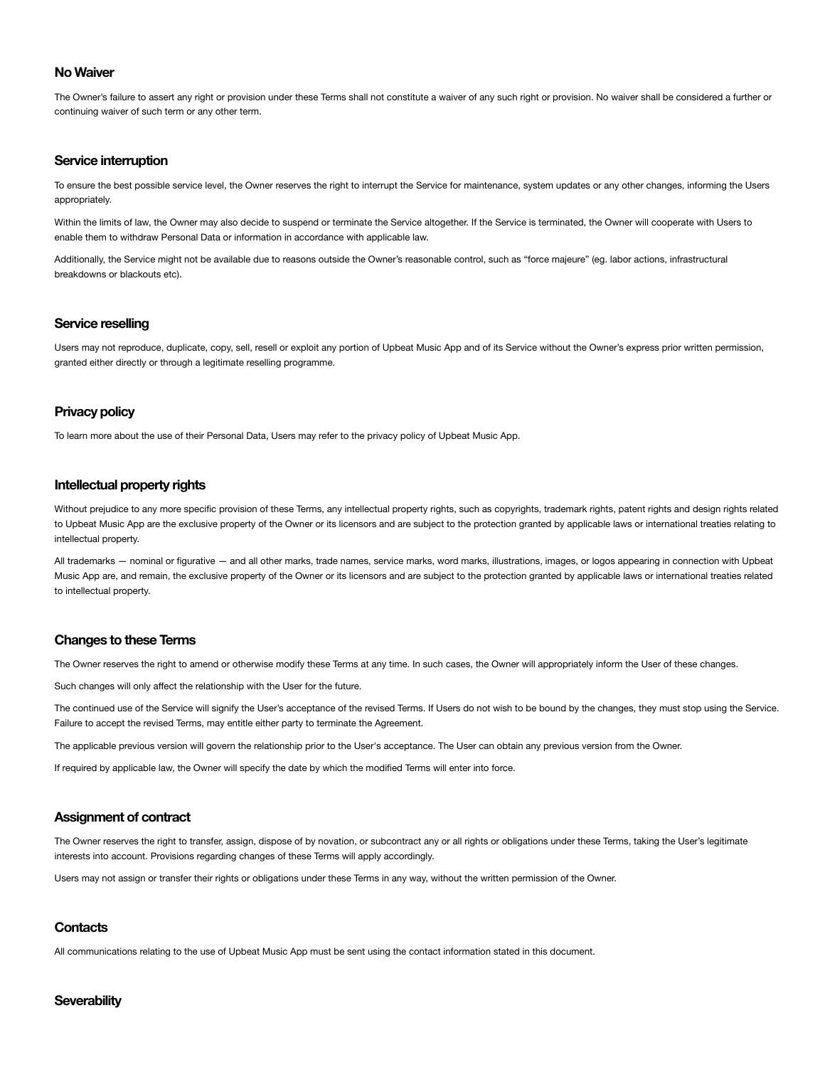## **No Waiver**

The Owner's failure to assert any right or provision under these Terms shall not constitute a waiver of any such right or provision. No waiver shall be considered a further or continuing waiver of such term or any other term.

## **Service interruption**

To ensure the best possible service level, the Owner reserves the right to interrupt the Service for maintenance, system updates or any other changes, informing the Users appropriately.

Within the limits of law, the Owner may also decide to suspend or terminate the Service altogether. If the Service is terminated, the Owner will cooperate with Users to enable them to withdraw Personal Data or information in accordance with applicable law.

Additionally, the Service might not be available due to reasons outside the Owner's reasonable control, such as "force majeure" (eg. labor actions, infrastructural breakdowns or blackouts etc).

## **Service reselling**

Users may not reproduce, duplicate, copy, sell, resell or exploit any portion of Upbeat Music App and of its Service without the Owner's express prior written permission, granted either directly or through a legitimate reselling programme.

## **Privacy policy**

To learn more about the use of their Personal Data, Users may refer to the privacy policy of Upbeat Music App.

## **Intellectual property rights**

Without prejudice to any more specific provision of these Terms, any intellectual property rights, such as copyrights, trademark rights, patent rights and design rights related to Upbeat Music App are the exclusive property of the Owner or its licensors and are subject to the protection granted by applicable laws or international treaties relating to intellectual property.

All trademarks — nominal or figurative — and all other marks, trade names, service marks, word marks, illustrations, images, or logos appearing in connection with Upbeat Music App are, and remain, the exclusive property of the Owner or its licensors and are subject to the protection granted by applicable laws or international treaties related to intellectual property.

## **Changes to these Terms**

The Owner reserves the right to amend or otherwise modify these Terms at any time. In such cases, the Owner will appropriately inform the User of these changes.

Such changes will only affect the relationship with the User for the future.

The continued use of the Service will signify the User's acceptance of the revised Terms. If Users do not wish to be bound by the changes, they must stop using the Service. Failure to accept the revised Terms, may entitle either party to terminate the Agreement.

The applicable previous version will govern the relationship prior to the User's acceptance. The User can obtain any previous version from the Owner.

If required by applicable law, the Owner will specify the date by which the modified Terms will enter into force.

## **Assignment of contract**

The Owner reserves the right to transfer, assign, dispose of by novation, or subcontract any or all rights or obligations under these Terms, taking the User's legitimate interests into account. Provisions regarding changes of these Terms will apply accordingly.

Users may not assign or transfer their rights or obligations under these Terms in any way, without the written permission of the Owner.

## **Contacts**

All communications relating to the use of Upbeat Music App must be sent using the contact information stated in this document.

## **Severability**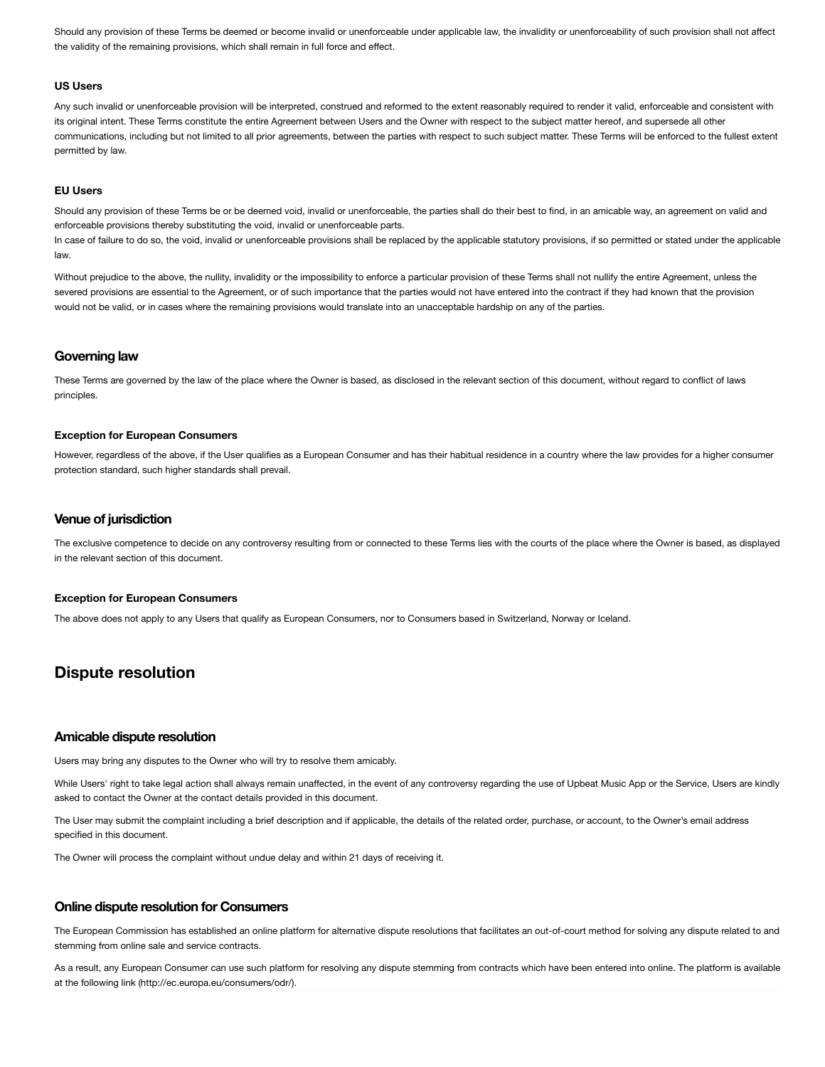Should any provision of these Terms be deemed or become invalid or unenforceable under applicable law, the invalidity or unenforceability of such provision shall not affect the validity of the remaining provisions, which shall remain in full force and effect.

#### **US Users**

Any such invalid or unenforceable provision will be interpreted, construed and reformed to the extent reasonably required to render it valid, enforceable and consistent with its original intent. These Terms constitute the entire Agreement between Users and the Owner with respect to the subject matter hereof, and supersede all other communications, including but not limited to all prior agreements, between the parties with respect to such subject matter. These Terms will be enforced to the fullest extent permitted by law.

#### **EU Users**

Should any provision of these Terms be or be deemed void, invalid or unenforceable, the parties shall do their best to find, in an amicable way, an agreement on valid and enforceable provisions thereby substituting the void, invalid or unenforceable parts.

In case of failure to do so, the void, invalid or unenforceable provisions shall be replaced by the applicable statutory provisions, if so permitted or stated under the applicable law.

Without prejudice to the above, the nullity, invalidity or the impossibility to enforce a particular provision of these Terms shall not nullify the entire Agreement, unless the severed provisions are essential to the Agreement, or of such importance that the parties would not have entered into the contract if they had known that the provision would not be valid, or in cases where the remaining provisions would translate into an unacceptable hardship on any of the parties.

## **Governing law**

These Terms are governed by the law of the place where the Owner is based, as disclosed in the relevant section of this document, without regard to conflict of laws principles.

## **Exception for European Consumers**

However, regardless of the above, if the User qualifies as a European Consumer and has their habitual residence in a country where the law provides for a higher consumer protection standard, such higher standards shall prevail.

## **Venue of jurisdiction**

The exclusive competence to decide on any controversy resulting from or connected to these Terms lies with the courts of the place where the Owner is based, as displayed in the relevant section of this document.

## **Exception for European Consumers**

The above does not apply to any Users that qualify as European Consumers, nor to Consumers based in Switzerland, Norway or Iceland.

# **Dispute resolution**

## **Amicable dispute resolution**

Users may bring any disputes to the Owner who will try to resolve them amicably.

While Users' right to take legal action shall always remain unaffected, in the event of any controversy regarding the use of Upbeat Music App or the Service, Users are kindly asked to contact the Owner at the contact details provided in this document.

The User may submit the complaint including a brief description and if applicable, the details of the related order, purchase, or account, to the Owner's email address specified in this document.

The Owner will process the complaint without undue delay and within 21 days of receiving it.

## **Online dispute resolution for Consumers**

The European Commission has established an online platform for alternative dispute resolutions that facilitates an out-of-court method for solving any dispute related to and stemming from online sale and service contracts.

[As a result, any European Consumer can use such platform for resolving any dispute stemming from contracts which have been entered into online. The platform is available](http://ec.europa.eu/consumers/odr/) at the following link (http://ec.europa.eu/consumers/odr/).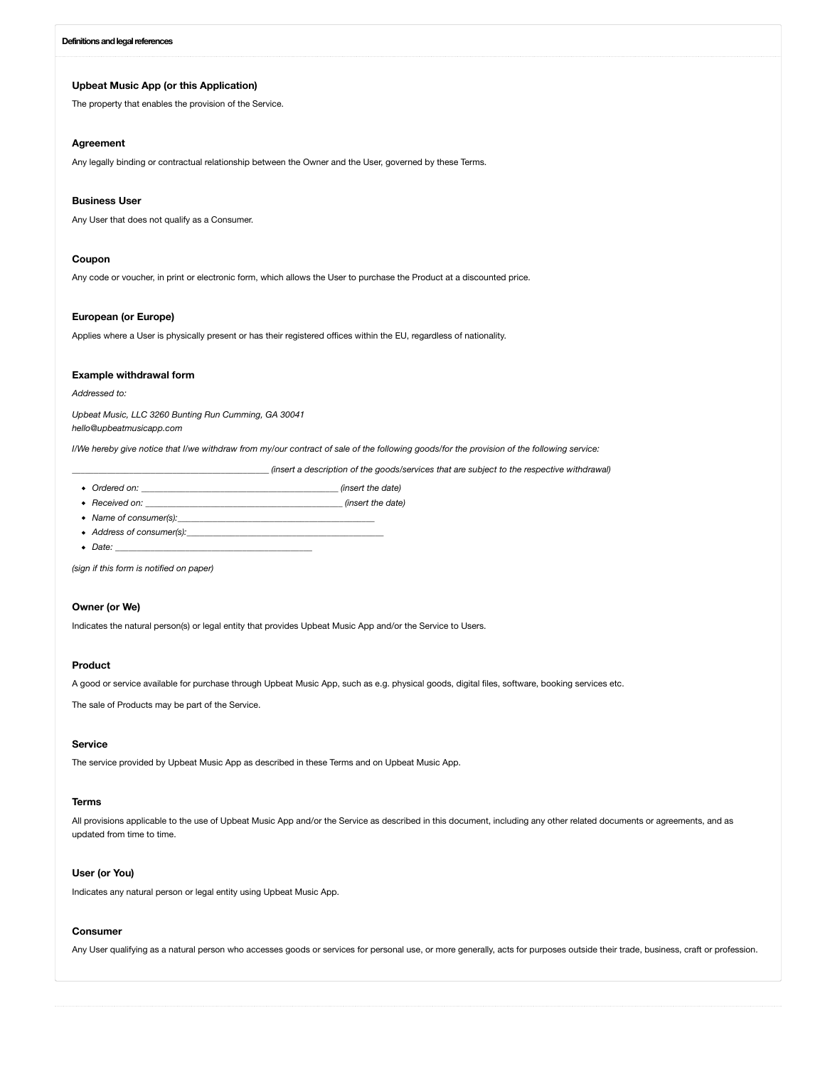#### **Definitions and legal references**

#### **Upbeat Music App (or this Application)**

The property that enables the provision of the Service.

## **Agreement**

Any legally binding or contractual relationship between the Owner and the User, governed by these Terms.

#### **Business User**

Any User that does not qualify as a Consumer.

## **Coupon**

Any code or voucher, in print or electronic form, which allows the User to purchase the Product at a discounted price.

## **European (or Europe)**

Applies where a User is physically present or has their registered offices within the EU, regardless of nationality.

#### **Example withdrawal form**

*Addressed to:*

*Upbeat Music, LLC 3260 Bunting Run Cumming, GA 30041 hello@upbeatmusicapp.com*

*I/We hereby give notice that I/we withdraw from my/our contract of sale of the following goods/for the provision of the following service:*

*\_\_\_\_\_\_\_\_\_\_\_\_\_\_\_\_\_\_\_\_\_\_\_\_\_\_\_\_\_\_\_\_\_\_\_\_\_\_\_\_\_\_\_\_\_ (insert a description of the goods/services that are subject to the respective withdrawal)*

- *Ordered on: \_\_\_\_\_\_\_\_\_\_\_\_\_\_\_\_\_\_\_\_\_\_\_\_\_\_\_\_\_\_\_\_\_\_\_\_\_\_\_\_\_\_\_\_\_ (insert the date)*
- *Received on: \_\_\_\_\_\_\_\_\_\_\_\_\_\_\_\_\_\_\_\_\_\_\_\_\_\_\_\_\_\_\_\_\_\_\_\_\_\_\_\_\_\_\_\_\_ (insert the date)*
- Name of consumer(s):
- *Address of consumer(s):\_\_\_\_\_\_\_\_\_\_\_\_\_\_\_\_\_\_\_\_\_\_\_\_\_\_\_\_\_\_\_\_\_\_\_\_\_\_\_\_\_\_\_\_\_*
- $\bullet$  *Date:*

*(sign if this form is notified on paper)*

## **Owner (or We)**

Indicates the natural person(s) or legal entity that provides Upbeat Music App and/or the Service to Users.

## **Product**

A good or service available for purchase through Upbeat Music App, such as e.g. physical goods, digital files, software, booking services etc.

The sale of Products may be part of the Service.

#### **Service**

The service provided by Upbeat Music App as described in these Terms and on Upbeat Music App.

#### **Terms**

All provisions applicable to the use of Upbeat Music App and/or the Service as described in this document, including any other related documents or agreements, and as updated from time to time.

### **User (or You)**

Indicates any natural person or legal entity using Upbeat Music App.

## **Consumer**

Any User qualifying as a natural person who accesses goods or services for personal use, or more generally, acts for purposes outside their trade, business, craft or profession.